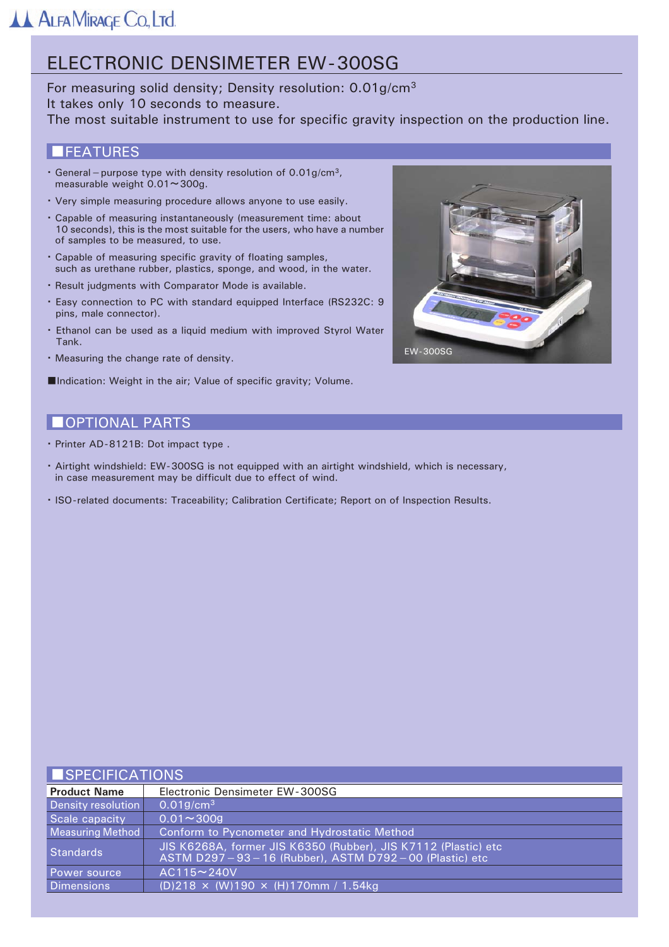## ELECTRONIC DENSIMETER EW-300SG

For measuring solid density; Density resolution: 0.01g/cm<sup>3</sup> It takes only 10 seconds to measure. The most suitable instrument to use for specific gravity inspection on the production line.

## **IFEATURES**

- General purpose type with density resolution of  $0.01$ g/cm<sup>3</sup>, measurable weight  $0.01 \sim 300$ g.
- . Very simple measuring procedure allows anyone to use easily.
- . Capable of measuring instantaneously (measurement time: about 10 seconds), this is the most suitable for the users, who have a number of samples to be measured, to use.
- · Capable of measuring specific gravity of floating samples, such as urethane rubber, plastics, sponge, and wood, in the water.
- · Result judgments with Comparator Mode is available.
- . Easy connection to PC with standard equipped Interface (RS232C: 9 pins, male connector).
- . Ethanol can be used as a liquid medium with improved Styrol Water Tank.
- · Measuring the change rate of density.

Indication: Weight in the air; Value of specific gravity; Volume.



## **OPTIONAL PARTS**

- · Printer AD-8121B: Dot impact type.
- · Airtight windshield: EW-300SG is not equipped with an airtight windshield, which is necessary, in case measurement may be difficult due to effect of wind.
- · ISO-related documents: Traceability; Calibration Certificate; Report on of Inspection Results.

### **ISPECIFICATIONS**

| <b>Product Name</b> | Electronic Densimeter EW-300SG                                                                                         |
|---------------------|------------------------------------------------------------------------------------------------------------------------|
| Density resolution  | 0.019/cm <sup>3</sup>                                                                                                  |
| Scale capacity      | $0.01 - 3009$                                                                                                          |
| Measuring Method    | Conform to Pycnometer and Hydrostatic Method                                                                           |
| Standards           | JIS K6268A, former JIS K6350 (Rubber), JIS K7112 (Plastic) etc<br>ASTM D297-93-16 (Rubber), ASTM D792-00 (Plastic) etc |
| Power source        | $AC115 \sim 240V$                                                                                                      |
| Dimensions          | (D)218 $\times$ (W)190 $\times$ (H)170mm / 1.54kg                                                                      |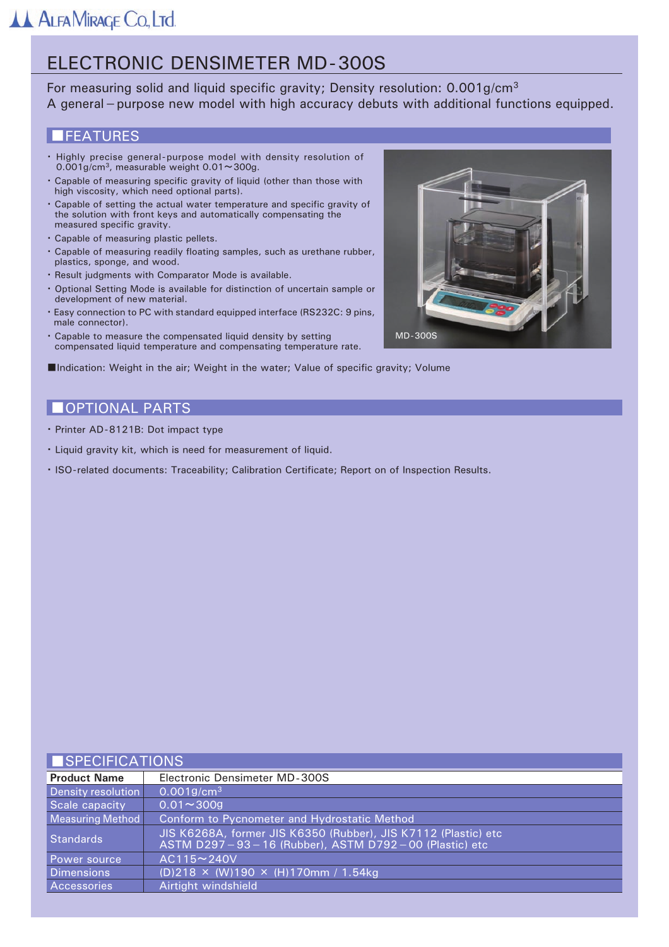# **ELECTRONIC DENSIMETER MD-300S**

For measuring solid and liquid specific gravity; Density resolution: 0.001g/cm<sup>3</sup> A general - purpose new model with high accuracy debuts with additional functions equipped.

## **IFEATURES**

- Highly precise general-purpose model with density resolution of  $0.001$ g/cm<sup>3</sup>, measurable weight  $0.01 \sim 300$ g.
- . Capable of measuring specific gravity of liquid (other than those with high viscosity, which need optional parts).
- . Capable of setting the actual water temperature and specific gravity of the solution with front keys and automatically compensating the measured specific gravity.
- · Capable of measuring plastic pellets.
- . Capable of measuring readily floating samples, such as urethane rubber, plastics, sponge, and wood.
- · Result judgments with Comparator Mode is available.
- . Optional Setting Mode is available for distinction of uncertain sample or development of new material.
- . Easy connection to PC with standard equipped interface (RS232C: 9 pins, male connector).
- . Capable to measure the compensated liquid density by setting compensated liquid temperature and compensating temperature rate.



Indication: Weight in the air; Weight in the water; Value of specific gravity; Volume

## **OPTIONAL PARTS**

- · Printer AD-8121B: Dot impact type
- · Liquid gravity kit, which is need for measurement of liquid.
- · ISO-related documents: Traceability; Calibration Certificate; Report on of Inspection Results.

#### ICDECIEICATIONIC

| I I OF EUIFIUA HUNO |                                                                                                                        |
|---------------------|------------------------------------------------------------------------------------------------------------------------|
| <b>Product Name</b> | Electronic Densimeter MD-300S                                                                                          |
| Density resolution  | $0.001$ g/cm <sup>3</sup>                                                                                              |
| Scale capacity      | $0.01 - 3009$                                                                                                          |
| Measuring Method    | Conform to Pycnometer and Hydrostatic Method                                                                           |
| <b>Standards</b>    | JIS K6268A, former JIS K6350 (Rubber), JIS K7112 (Plastic) etc<br>ASTM D297-93-16 (Rubber), ASTM D792-00 (Plastic) etc |
| Power source,       | $AC115 \sim 240V$                                                                                                      |
| Dimensions          | $(D)$ 218 × (W)190 × (H)170mm / 1.54kg                                                                                 |
| Accessories         | Airtight windshield                                                                                                    |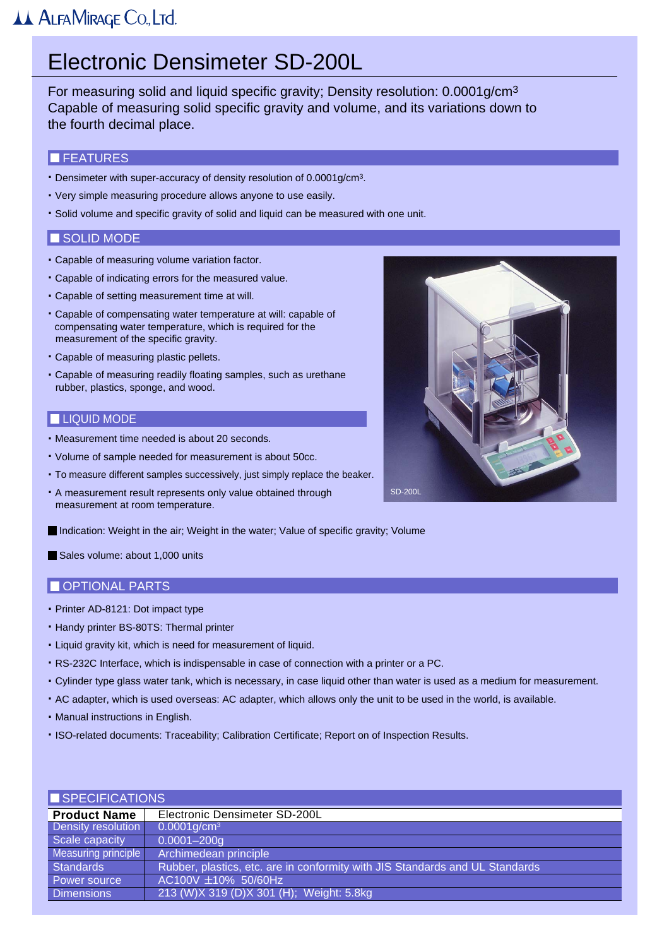# Electronic Densimeter SD-200L

For measuring solid and liquid specific gravity; Density resolution: 0.0001g/cm3 Capable of measuring solid specific gravity and volume, and its variations down to the fourth decimal place.

#### **FEATURES**

- . Densimeter with super-accuracy of density resolution of 0.0001g/cm3.
- . Very simple measuring procedure allows anyone to use easily.
- . Solid volume and specific gravity of solid and liquid can be measured with one unit.

#### SOLID MODE

- . Capable of measuring volume variation factor.
- . Capable of indicating errors for the measured value.
- . Capable of setting measurement time at will.
- . Capable of compensating water temperature at will: capable of compensating water temperature, which is required for the measurement of the specific gravity.
- . Capable of measuring plastic pellets.
- . Capable of measuring readily floating samples, such as urethane rubber, plastics, sponge, and wood.

#### **LIQUID MODE**

- . Measurement time needed is about 20 seconds.
- . Volume of sample needed for measurement is about 50cc.
- . To measure different samples successively, just simply replace the beaker.
- . A measurement result represents only value obtained through measurement at room temperature.



Indication: Weight in the air; Weight in the water; Value of specific gravity; Volume

Sales volume: about 1,000 units

#### OPTIONAL PARTS

- . Printer AD-8121: Dot impact type
- . Handy printer BS-80TS: Thermal printer
- . Liquid gravity kit, which is need for measurement of liquid.
- . RS-232C Interface, which is indispensable in case of connection with a printer or a PC.
- . Cylinder type glass water tank, which is necessary, in case liquid other than water is used as a medium for measurement.
- . AC adapter, which is used overseas: AC adapter, which allows only the unit to be used in the world, is available.
- . Manual instructions in English.
- .ISO-related documents: Traceability; Calibration Certificate; Report on of Inspection Results.

| SPECIFICATIONS      |                                                                              |
|---------------------|------------------------------------------------------------------------------|
| <b>Product Name</b> | Electronic Densimeter SD-200L                                                |
| Density resolution  | $0.0001$ g/cm <sup>3</sup>                                                   |
| Scale capacity      | $0.0001 - 200q$                                                              |
| Measuring principle | Archimedean principle                                                        |
| <b>Standards</b>    | Rubber, plastics, etc. are in conformity with JIS Standards and UL Standards |
| Power source        | AC100V ±10% 50/60Hz                                                          |
| <b>Dimensions</b>   | 213 (W)X 319 (D)X 301 (H); Weight: 5.8kg                                     |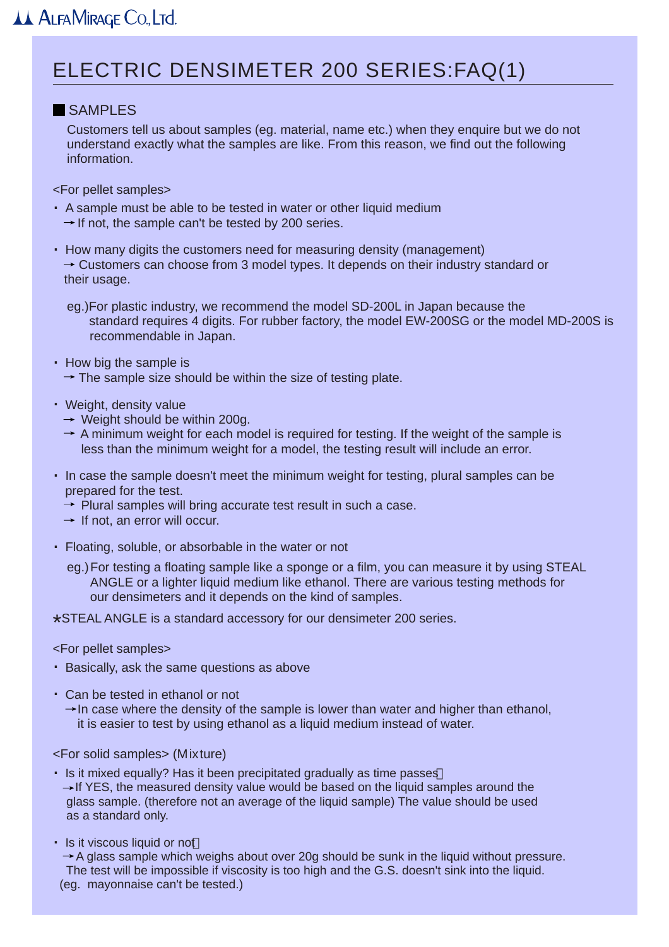# ELECTRIC DENSIMETER 200 SERIES:FAQ(1)

## **SAMPLES**

 Customers tell us about samples (eg. material, name etc.) when they enquire but we do not understand exactly what the samples are like. From this reason, we find out the following information.

<For pellet samples>

- . A sample must be able to be tested in water or other liquid medium  $\rightarrow$  If not, the sample can't be tested by 200 series.
- . How many digits the customers need for measuring density (management)  $\rightarrow$  Customers can choose from 3 model types. It depends on their industry standard or their usage.
	- eg.)For plastic industry, we recommend the model SD-200L in Japan because the standard requires 4 digits. For rubber factory, the model EW-200SG or the model MD-200S is recommendable in Japan.
- . How big the sample is
	- $\rightarrow$  The sample size should be within the size of testing plate.
- . Weight, density value
	- $\rightarrow$  Weight should be within 200g.
	- $\rightarrow$  A minimum weight for each model is required for testing. If the weight of the sample is less than the minimum weight for a model, the testing result will include an error.
- . In case the sample doesn't meet the minimum weight for testing, plural samples can be prepared for the test.
	- $\rightarrow$  Plural samples will bring accurate test result in such a case.
	- $\rightarrow$  If not, an error will occur.
- . Floating, soluble, or absorbable in the water or not
	- eg.)For testing a floating sample like a sponge or a film, you can measure it by using STEAL ANGLE or a lighter liquid medium like ethanol. There are various testing methods for our densimeters and it depends on the kind of samples.

\*STEAL ANGLE is a standard accessory for our densimeter 200 series.

<For pellet samples>

- . Basically, ask the same questions as above
- . Can be tested in ethanol or not
	- $\rightarrow$  In case where the density of the sample is lower than water and higher than ethanol, it is easier to test by using ethanol as a liquid medium instead of water.

<For solid samples> (Mixture)

- . Is it mixed equally? Has it been precipitated gradually as time passes  $\rightarrow$  If YES, the measured density value would be based on the liquid samples around the glass sample. (therefore not an average of the liquid sample) The value should be used as a standard only.
- . Is it viscous liquid or not

 $\rightarrow$  A glass sample which weighs about over 20g should be sunk in the liquid without pressure. The test will be impossible if viscosity is too high and the G.S. doesn't sink into the liquid. (eg. mayonnaise can't be tested.)